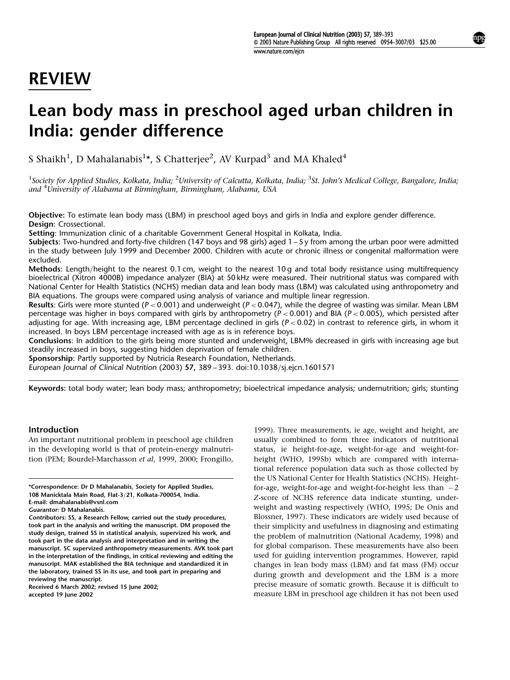# REVIEW

# Lean body mass in preschool aged urban children in India: gender difference

S Shaikh $^1$ , D Mahalanabis $^{1\star}$ , S Chatterjee $^2$ , AV Kurpad $^3$  and MA Khaled $^4$ 

 $^1$ Society for Applied Studies, Kolkata, India;  $^2$ University of Calcutta, Kolkata, India;  $^3$ St. John's Medical College, Bangalore, India; and <sup>4</sup>Úniversity of Alabama at Birmingham, Birmingham, Alabama, USA

Objective: To estimate lean body mass (LBM) in preschool aged boys and girls in India and explore gender difference. Design: Crossectional.

Setting: Immunization clinic of a charitable Government General Hospital in Kolkata, India.

Subjects: Two-hundred and forty-five children (147 boys and 98 girls) aged  $1 - 5y$  from among the urban poor were admitted in the study between July 1999 and December 2000. Children with acute or chronic illness or congenital malformation were excluded.

Methods: Length/height to the nearest 0.1 cm, weight to the nearest 10 g and total body resistance using multifrequency bioelectrical (Xitron 4000B) impedance analyzer (BIA) at 50 kHz were measured. Their nutritional status was compared with National Center for Health Statistics (NCHS) median data and lean body mass (LBM) was calculated using anthropometry and BIA equations. The groups were compared using analysis of variance and multiple linear regression.

Results: Girls were more stunted ( $P < 0.001$ ) and underweight ( $P < 0.047$ ), while the degree of wasting was similar. Mean LBM percentage was higher in boys compared with girls by anthropometry ( $P < 0.001$ ) and BIA ( $P < 0.005$ ), which persisted after adjusting for age. With increasing age, LBM percentage declined in girls ( $P < 0.02$ ) in contrast to reference girls, in whom it increased. In boys LBM percentage increased with age as is in reference boys.

Conclusions: In addition to the girls being more stunted and underweight, LBM% decreased in girls with increasing age but steadily increased in boys, suggesting hidden deprivation of female children.

Sponsorship: Partly supported by Nutricia Research Foundation, Netherlands.

European Journal of Clinical Nutrition (2003)  $57$ , 389 – 393. doi:10.1038/sj.ejcn.1601571

Keywords: total body water; lean body mass; anthropometry; bioelectrical impedance analysis; undernutrition; girls; stunting

# Introduction

An important nutritional problem in preschool age children in the developing world is that of protein-energy malnutrition (PEM; Bourdel-Marchasson et al, 1999, 2000; Frongillo,

\*Correspondence: Dr D Mahalanabis, Society for Applied Studies, 108 Manicktala Main Road, Flat-3/21, Kolkata-700054, India. E-mail: dmahalanabis@vsnl.com

Received 6 March 2002; revised 15 June 2002; accepted 19 June 2002

1999). Three measurements, ie age, weight and height, are usually combined to form three indicators of nutritional status, ie height-for-age, weight-for-age and weight-forheight (WHO, 1995b) which are compared with international reference population data such as those collected by the US National Center for Health Statistics (NCHS). Heightfor-age, weight-for-age and weight-for-height less than  $-2$ Z-score of NCHS reference data indicate stunting, underweight and wasting respectively (WHO, 1995; De Onis and Blossner, 1997). These indicators are widely used because of their simplicity and usefulness in diagnosing and estimating the problem of malnutrition (National Academy, 1998) and for global comparison. These measurements have also been used for guiding intervention programmes. However, rapid changes in lean body mass (LBM) and fat mass (FM) occur during growth and development and the LBM is a more precise measure of somatic growth. Because it is difficult to measure LBM in preschool age children it has not been used

Guarantor: D Mahalanabis.

Contributors: SS, a Research Fellow, carried out the study procedures, took part in the analysis and writing the manuscript. DM proposed the study design, trained SS in statistical analysis, supervized his work, and took part in the data analysis and interpretation and in writing the manuscript. SC supervized anthropometry measurements. AVK took part in the interpretation of the findings, in critical reviewing and editing the manuscript. MAK established the BIA technique and standardized it in the laboratory, trained SS in its use, and took part in preparing and reviewing the manuscript.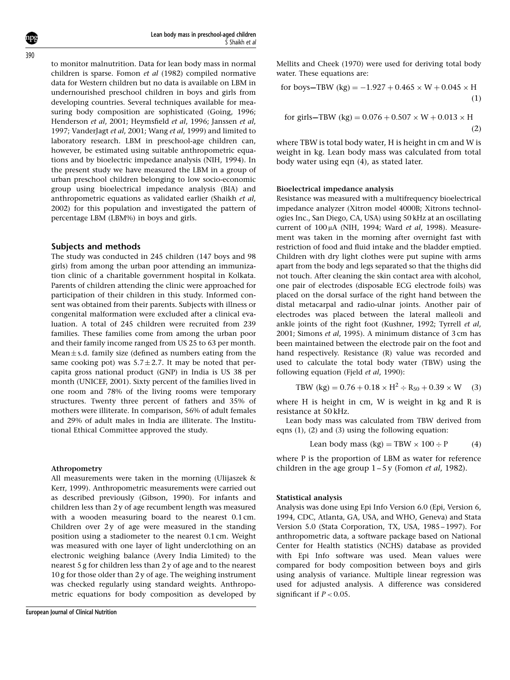to monitor malnutrition. Data for lean body mass in normal children is sparse. Fomon et al (1982) compiled normative data for Western children but no data is available on LBM in undernourished preschool children in boys and girls from developing countries. Several techniques available for measuring body composition are sophisticated (Going, 1996; Henderson et al, 2001; Heymsfield et al, 1996; Janssen et al, 1997; VanderJagt et al, 2001; Wang et al, 1999) and limited to laboratory research. LBM in preschool-age children can, however, be estimated using suitable anthropometric equations and by bioelectric impedance analysis (NIH, 1994). In the present study we have measured the LBM in a group of urban preschool children belonging to low socio-economic group using bioelectrical impedance analysis (BIA) and anthropometric equations as validated earlier (Shaikh et al, 2002) for this population and investigated the pattern of percentage LBM (LBM%) in boys and girls.

## Subjects and methods

The study was conducted in 245 children (147 boys and 98 girls) from among the urban poor attending an immunization clinic of a charitable government hospital in Kolkata. Parents of children attending the clinic were approached for participation of their children in this study. Informed consent was obtained from their parents. Subjects with illness or congenital malformation were excluded after a clinical evaluation. A total of 245 children were recruited from 239 families. These families come from among the urban poor and their family income ranged from US 25 to 63 per month. Mean  $\pm$  s.d. family size (defined as numbers eating from the same cooking pot) was  $5.7 \pm 2.7$ . It may be noted that percapita gross national product (GNP) in India is US 38 per month (UNICEF, 2001). Sixty percent of the families lived in one room and 78% of the living rooms were temporary structures. Twenty three percent of fathers and 35% of mothers were illiterate. In comparison, 56% of adult females and 29% of adult males in India are illiterate. The Institutional Ethical Committee approved the study.

#### Athropometry

All measurements were taken in the morning (Ulijaszek & Kerr, 1999). Anthropometric measurements were carried out as described previously (Gibson, 1990). For infants and children less than 2 y of age recumbent length was measured with a wooden measuring board to the nearest 0.1 cm. Children over  $2y$  of age were measured in the standing position using a stadiometer to the nearest 0.1 cm. Weight was measured with one layer of light underclothing on an electronic weighing balance (Avery India Limited) to the nearest 5 g for children less than 2 y of age and to the nearest 10 g for those older than 2 y of age. The weighing instrument was checked regularly using standard weights. Anthropometric equations for body composition as developed by Mellits and Cheek (1970) were used for deriving total body water. These equations are:

for boys—TBW (kg) = 
$$
-1.927 + 0.465 \times W + 0.045 \times H
$$
 (1)

for girls—TBW (kg) = 
$$
0.076 + 0.507 \times W + 0.013 \times H
$$
 (2)

where TBW is total body water, H is height in cm and W is weight in kg. Lean body mass was calculated from total body water using eqn (4), as stated later.

### Bioelectrical impedance analysis

Resistance was measured with a multifrequency bioelectrical impedance analyzer (Xitron model 4000B; Xitrons technologies Inc., San Diego, CA, USA) using 50 kHz at an oscillating current of  $100 \mu A$  (NIH, 1994; Ward et al, 1998). Measurement was taken in the morning after overnight fast with restriction of food and fluid intake and the bladder emptied. Children with dry light clothes were put supine with arms apart from the body and legs separated so that the thighs did not touch. After cleaning the skin contact area with alcohol, one pair of electrodes (disposable ECG electrode foils) was placed on the dorsal surface of the right hand between the distal metacarpal and radio-ulnar joints. Another pair of electrodes was placed between the lateral malleoli and ankle joints of the right foot (Kushner, 1992; Tyrrell et al, 2001; Simons et al, 1995). A minimum distance of 3 cm has been maintained between the electrode pair on the foot and hand respectively. Resistance (R) value was recorded and used to calculate the total body water (TBW) using the following equation (Fjeld et al, 1990):

$$
TBW (kg) = 0.76 + 0.18 \times H^2 \div R_{50} + 0.39 \times W
$$
 (3)

where H is height in cm, W is weight in kg and R is resistance at 50 kHz.

Lean body mass was calculated from TBW derived from eqns (1), (2) and (3) using the following equation:

Lean body mass  $(kg) = TBW \times 100 \div P$  (4)

where P is the proportion of LBM as water for reference children in the age group  $1-5y$  (Fomon et al, 1982).

#### Statistical analysis

Analysis was done using Epi Info Version 6.0 (Epi, Version 6, 1994, CDC, Atlanta, GA, USA, and WHO, Geneva) and Stata Version 5.0 (Stata Corporation, TX, USA, 1985 – 1997). For anthropometric data, a software package based on National Center for Health statistics (NCHS) database as provided with Epi Info software was used. Mean values were compared for body composition between boys and girls using analysis of variance. Multiple linear regression was used for adjusted analysis. A difference was considered significant if  $P < 0.05$ .

390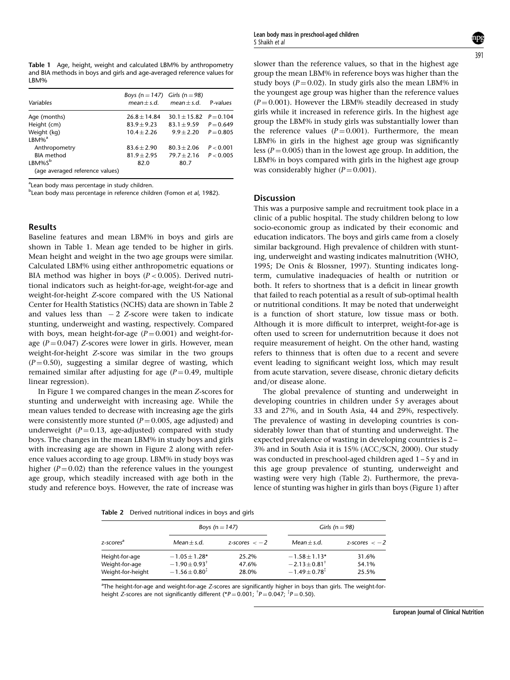Table 1 Age, height, weight and calculated LBM% by anthropometry and BIA methods in boys and girls and age-averaged reference values for LBM%

| Variables                                     | Boys (n = $147$ )<br>$mean + s.d.$ | Girls (n = $98$ )<br>$mean + s.d.$ | P-values    |
|-----------------------------------------------|------------------------------------|------------------------------------|-------------|
| Age (months)                                  | $26.8 + 14.84$                     | $30.1 + 15.82$                     | $P = 0.104$ |
| Height (cm)                                   | $83.9 + 9.23$                      | $83.1 + 9.59$                      | $P = 0.649$ |
| Weight (kg)<br>$LBM\%$ <sup>a</sup>           | $10.4 + 2.26$                      | $9.9 + 2.20$                       | $P = 0.805$ |
| Anthropometry                                 | $83.6 + 2.90$                      | $80.3 + 2.06$                      | P < 0.001   |
| <b>BIA</b> method                             | $81.9 + 2.95$                      | $79.7 + 2.16$                      | P < 0.005   |
| $LBM\%S^b$<br>(age averaged reference values) | 82.0                               | 80.7                               |             |

<sup>a</sup>Lean body mass percentage in study children.

<sup>b</sup>Lean body mass percentage in reference children (Fomon et al, 1982).

# Results

Baseline features and mean LBM% in boys and girls are shown in Table 1. Mean age tended to be higher in girls. Mean height and weight in the two age groups were similar. Calculated LBM% using either anthropometric equations or BIA method was higher in boys ( $P < 0.005$ ). Derived nutritional indicators such as height-for-age, weight-for-age and weight-for-height Z-score compared with the US National Center for Health Statistics (NCHS) data are shown in Table 2 and values less than  $-2$  Z-score were taken to indicate stunting, underweight and wasting, respectively. Compared with boys, mean height-for-age  $(P = 0.001)$  and weight-forage ( $P = 0.047$ ) Z-scores were lower in girls. However, mean weight-for-height Z-score was similar in the two groups  $(P=0.50)$ , suggesting a similar degree of wasting, which remained similar after adjusting for age  $(P = 0.49$ , multiple linear regression).

In Figure 1 we compared changes in the mean Z-scores for stunting and underweight with increasing age. While the mean values tended to decrease with increasing age the girls were consistently more stunted  $(P=0.005$ , age adjusted) and underweight  $(P = 0.13$ , age-adjusted) compared with study boys. The changes in the mean LBM% in study boys and girls with increasing age are shown in Figure 2 along with reference values according to age group. LBM% in study boys was higher ( $P = 0.02$ ) than the reference values in the youngest age group, which steadily increased with age both in the study and reference boys. However, the rate of increase was slower than the reference values, so that in the highest age group the mean LBM% in reference boys was higher than the study boys ( $P = 0.02$ ). In study girls also the mean LBM% in the youngest age group was higher than the reference values  $(P = 0.001)$ . However the LBM% steadily decreased in study girls while it increased in reference girls. In the highest age group the LBM% in study girls was substantially lower than the reference values  $(P = 0.001)$ . Furthermore, the mean LBM% in girls in the highest age group was significantly less ( $P = 0.005$ ) than in the lowest age group. In addition, the LBM% in boys compared with girls in the highest age group was considerably higher  $(P = 0.001)$ .

## Discussion

This was a purposive sample and recruitment took place in a clinic of a public hospital. The study children belong to low socio-economic group as indicated by their economic and education indicators. The boys and girls came from a closely similar background. High prevalence of children with stunting, underweight and wasting indicates malnutrition (WHO, 1995; De Onis & Blossner, 1997). Stunting indicates longterm, cumulative inadequacies of health or nutrition or both. It refers to shortness that is a deficit in linear growth that failed to reach potential as a result of sub-optimal health or nutritional conditions. It may be noted that underweight is a function of short stature, low tissue mass or both. Although it is more difficult to interpret, weight-for-age is often used to screen for undernutrition because it does not require measurement of height. On the other hand, wasting refers to thinness that is often due to a recent and severe event leading to significant weight loss, which may result from acute starvation, severe disease, chronic dietary deficits and/or disease alone.

The global prevalence of stunting and underweight in developing countries in children under 5 y averages about 33 and 27%, and in South Asia, 44 and 29%, respectively. The prevalence of wasting in developing countries is considerably lower than that of stunting and underweight. The expected prevalence of wasting in developing countries is 2 – 3% and in South Asia it is 15% (ACC/SCN, 2000). Our study was conducted in preschool-aged children aged 1 – 5 y and in this age group prevalence of stunting, underweight and wasting were very high (Table 2). Furthermore, the prevalence of stunting was higher in girls than boys (Figure 1) after

Table 2 Derived nutritional indices in boys and girls

| $1.0018$ $\pm$ $0.0118$ $0.0011$ $0.0011$ $0.0011$ $0.0011$ $0.0011$ $0.0011$ |                                                                     |                         |                                                                              |                         |  |  |  |
|-------------------------------------------------------------------------------|---------------------------------------------------------------------|-------------------------|------------------------------------------------------------------------------|-------------------------|--|--|--|
| z-scores <sup>a</sup>                                                         | Boys (n = $147$ )                                                   |                         | Girls ( $n = 98$ )                                                           |                         |  |  |  |
|                                                                               | $Mean + s.d.$                                                       | z-scores $<-2$          | $Mean + s.d.$                                                                | z-scores $<-2$          |  |  |  |
| Height-for-age<br>Weight-for-age<br>Weight-for-height                         | $-1.05 + 1.28*$<br>$-1.90 \pm 0.93^{\dagger}$<br>$-1.56 \pm 0.80^3$ | 25.2%<br>47.6%<br>28.0% | $-1.58 + 1.13*$<br>$-2.13 \pm 0.81^{\dagger}$<br>$-1.49 \pm 0.78^{\ddagger}$ | 31.6%<br>54.1%<br>25.5% |  |  |  |

<sup>a</sup>The height-for-age and weight-for-age Z-scores are significantly higher in boys than girls. The weight-forheight Z-scores are not significantly different (\* $P = 0.001;$   $^{\dagger}P = 0.047;$   $^{\ddagger}P = 0.50$ ).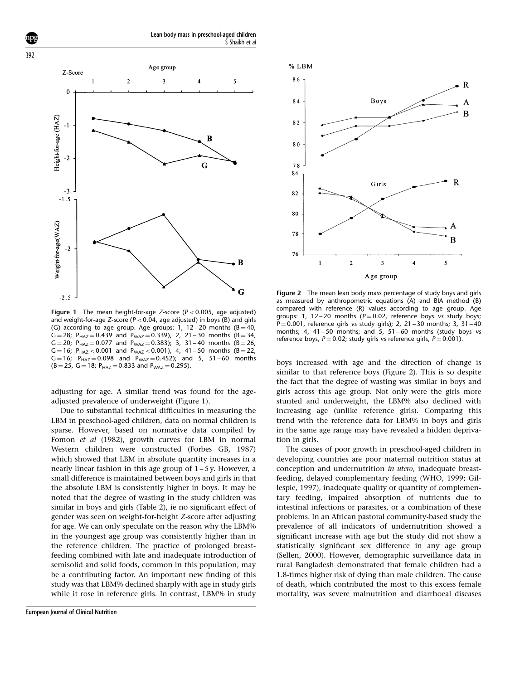





**Figure 1** The mean height-for-age Z-score ( $P < 0.005$ , age adjusted) and weight-for-age Z-score ( $P < 0.04$ , age adjusted) in boys (B) and girls (G) according to age group. Age groups: 1, 12-20 months (B=40, G = 28; P<sub>HAZ</sub> = 0.439 and P<sub>WAZ</sub> = 0.339), 2, 21 – 30 months (B = 34,  $G = 20$ ;  $P_{HAZ} = 0.077$  and  $P_{WAZ} = 0.383$ ); 3, 31 – 40 months (B = 26,  $G = 16$ ; P<sub>HAZ</sub> < 0.001 and P<sub>WAZ</sub> < 0.001), 4, 41 – 50 months (B = 22,  $G = 16$ ;  $P_{HAY} = 0.098$  and  $P_{WAY} = 0.452$ ); and 5, 51 – 60 months  $(B = 25, G = 18; P_{HAZ} = 0.833$  and  $P_{WAZ} = 0.295$ ).

adjusting for age. A similar trend was found for the ageadjusted prevalence of underweight (Figure 1).

Due to substantial technical difficulties in measuring the LBM in preschool-aged children, data on normal children is sparse. However, based on normative data compiled by Fomon et al (1982), growth curves for LBM in normal Western children were constructed (Forbes GB, 1987) which showed that LBM in absolute quantity increases in a nearly linear fashion in this age group of 1 – 5 y. However, a small difference is maintained between boys and girls in that the absolute LBM is consistently higher in boys. It may be noted that the degree of wasting in the study children was similar in boys and girls (Table 2), ie no significant effect of gender was seen on weight-for-height Z-score after adjusting for age. We can only speculate on the reason why the LBM% in the youngest age group was consistently higher than in the reference children. The practice of prolonged breastfeeding combined with late and inadequate introduction of semisolid and solid foods, common in this population, may be a contributing factor. An important new finding of this study was that LBM% declined sharply with age in study girls while it rose in reference girls. In contrast, LBM% in study



Figure 2 The mean lean body mass percentage of study boys and girls as measured by anthropometric equations (A) and BIA method (B) compared with reference (R) values according to age group. Age groups: 1, 12-20 months ( $P = 0.02$ , reference boys vs study boys;  $P = 0.001$ , reference girls vs study girls); 2, 21 - 30 months; 3, 31 - 40 months; 4, 41 – 50 months; and 5, 51 – 60 months (study boys vs reference boys,  $P = 0.02$ ; study girls vs reference girls,  $P = 0.001$ ).

boys increased with age and the direction of change is similar to that reference boys (Figure 2). This is so despite the fact that the degree of wasting was similar in boys and girls across this age group. Not only were the girls more stunted and underweight, the LBM% also declined with increasing age (unlike reference girls). Comparing this trend with the reference data for LBM% in boys and girls in the same age range may have revealed a hidden deprivation in girls.

The causes of poor growth in preschool-aged children in developing countries are poor maternal nutrition status at conception and undernutrition in utero, inadequate breastfeeding, delayed complementary feeding (WHO, 1999; Gillespie, 1997), inadequate quality or quantity of complementary feeding, impaired absorption of nutrients due to intestinal infections or parasites, or a combination of these problems. In an African pastoral community-based study the prevalence of all indicators of undernutrition showed a significant increase with age but the study did not show a statistically significant sex difference in any age group (Sellen, 2000). However, demographic surveillance data in rural Bangladesh demonstrated that female children had a 1.8-times higher risk of dying than male children. The cause of death, which contributed the most to this excess female mortality, was severe malnutrition and diarrhoeal diseases